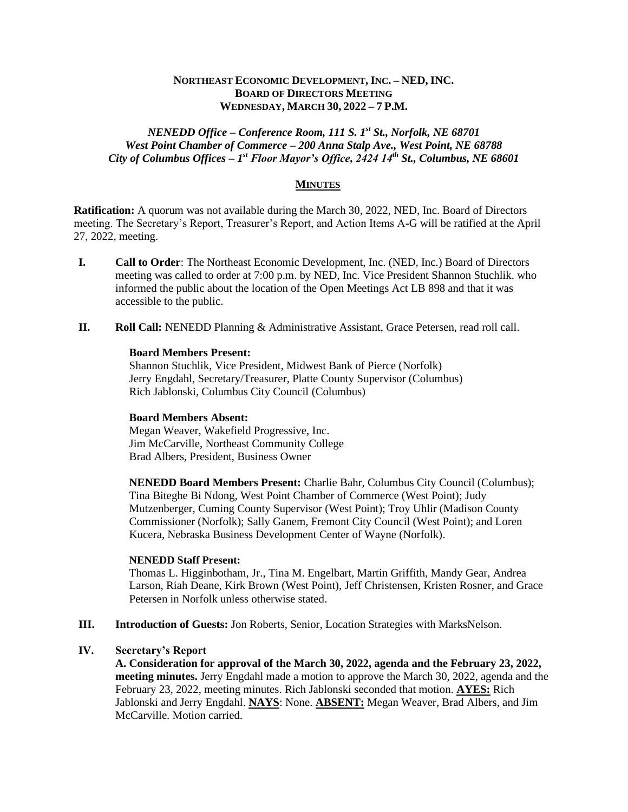## **NORTHEAST ECONOMIC DEVELOPMENT, INC. – NED, INC. BOARD OF DIRECTORS MEETING WEDNESDAY, MARCH 30, 2022 – 7 P.M.**

# *NENEDD Office – Conference Room, 111 S. 1st St., Norfolk, NE 68701 West Point Chamber of Commerce – 200 Anna Stalp Ave., West Point, NE 68788 City of Columbus Offices – 1 st Floor Mayor's Office, 2424 14th St., Columbus, NE 68601*

## **MINUTES**

**Ratification:** A quorum was not available during the March 30, 2022, NED, Inc. Board of Directors meeting. The Secretary's Report, Treasurer's Report, and Action Items A-G will be ratified at the April 27, 2022, meeting.

- **I. Call to Order**: The Northeast Economic Development, Inc. (NED, Inc.) Board of Directors meeting was called to order at 7:00 p.m. by NED, Inc. Vice President Shannon Stuchlik. who informed the public about the location of the Open Meetings Act LB 898 and that it was accessible to the public.
- **II. Roll Call:** NENEDD Planning & Administrative Assistant, Grace Petersen, read roll call.

#### **Board Members Present:**

Shannon Stuchlik, Vice President, Midwest Bank of Pierce (Norfolk) Jerry Engdahl, Secretary/Treasurer, Platte County Supervisor (Columbus) Rich Jablonski, Columbus City Council (Columbus)

#### **Board Members Absent:**

Megan Weaver, Wakefield Progressive, Inc. Jim McCarville, Northeast Community College Brad Albers, President, Business Owner

**NENEDD Board Members Present:** Charlie Bahr, Columbus City Council (Columbus); Tina Biteghe Bi Ndong, West Point Chamber of Commerce (West Point); Judy Mutzenberger, Cuming County Supervisor (West Point); Troy Uhlir (Madison County Commissioner (Norfolk); Sally Ganem, Fremont City Council (West Point); and Loren Kucera, Nebraska Business Development Center of Wayne (Norfolk).

#### **NENEDD Staff Present:**

Thomas L. Higginbotham, Jr., Tina M. Engelbart, Martin Griffith, Mandy Gear, Andrea Larson, Riah Deane, Kirk Brown (West Point), Jeff Christensen, Kristen Rosner, and Grace Petersen in Norfolk unless otherwise stated.

**III. Introduction of Guests:** Jon Roberts, Senior, Location Strategies with MarksNelson.

#### **IV. Secretary's Report**

**A. Consideration for approval of the March 30, 2022, agenda and the February 23, 2022, meeting minutes.** Jerry Engdahl made a motion to approve the March 30, 2022, agenda and the February 23, 2022, meeting minutes. Rich Jablonski seconded that motion. **AYES:** Rich Jablonski and Jerry Engdahl. **NAYS**: None. **ABSENT:** Megan Weaver, Brad Albers, and Jim McCarville. Motion carried.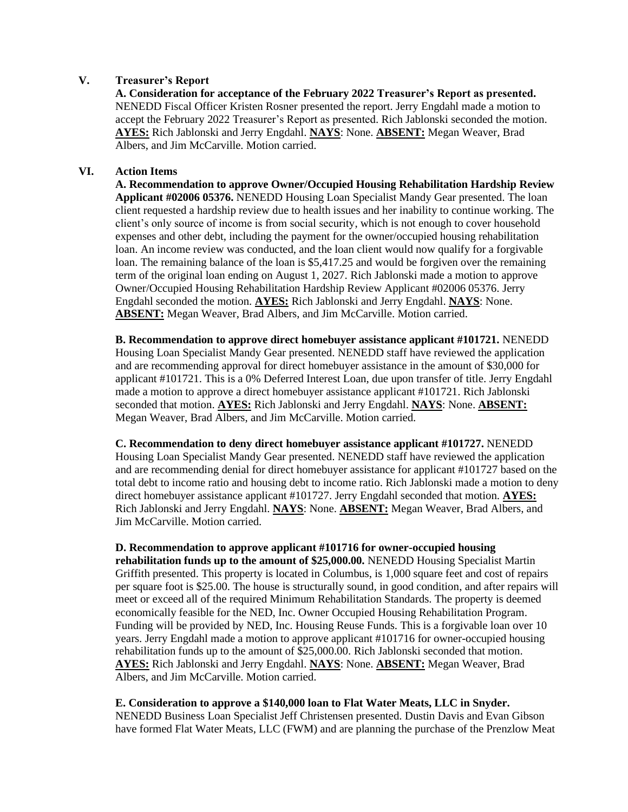## **V. Treasurer's Report**

**A. Consideration for acceptance of the February 2022 Treasurer's Report as presented.** NENEDD Fiscal Officer Kristen Rosner presented the report. Jerry Engdahl made a motion to accept the February 2022 Treasurer's Report as presented. Rich Jablonski seconded the motion. **AYES:** Rich Jablonski and Jerry Engdahl. **NAYS**: None. **ABSENT:** Megan Weaver, Brad Albers, and Jim McCarville. Motion carried.

## **VI. Action Items**

**A. Recommendation to approve Owner/Occupied Housing Rehabilitation Hardship Review Applicant #02006 05376.** NENEDD Housing Loan Specialist Mandy Gear presented. The loan client requested a hardship review due to health issues and her inability to continue working. The client's only source of income is from social security, which is not enough to cover household expenses and other debt, including the payment for the owner/occupied housing rehabilitation loan. An income review was conducted, and the loan client would now qualify for a forgivable loan. The remaining balance of the loan is \$5,417.25 and would be forgiven over the remaining term of the original loan ending on August 1, 2027. Rich Jablonski made a motion to approve Owner/Occupied Housing Rehabilitation Hardship Review Applicant #02006 05376. Jerry Engdahl seconded the motion. **AYES:** Rich Jablonski and Jerry Engdahl. **NAYS**: None. **ABSENT:** Megan Weaver, Brad Albers, and Jim McCarville. Motion carried.

**B. Recommendation to approve direct homebuyer assistance applicant #101721.** NENEDD Housing Loan Specialist Mandy Gear presented. NENEDD staff have reviewed the application and are recommending approval for direct homebuyer assistance in the amount of \$30,000 for applicant #101721. This is a 0% Deferred Interest Loan, due upon transfer of title. Jerry Engdahl made a motion to approve a direct homebuyer assistance applicant #101721. Rich Jablonski seconded that motion. **AYES:** Rich Jablonski and Jerry Engdahl. **NAYS**: None. **ABSENT:** Megan Weaver, Brad Albers, and Jim McCarville. Motion carried.

**C. Recommendation to deny direct homebuyer assistance applicant #101727.** NENEDD Housing Loan Specialist Mandy Gear presented. NENEDD staff have reviewed the application and are recommending denial for direct homebuyer assistance for applicant #101727 based on the total debt to income ratio and housing debt to income ratio. Rich Jablonski made a motion to deny direct homebuyer assistance applicant #101727. Jerry Engdahl seconded that motion. **AYES:** Rich Jablonski and Jerry Engdahl. **NAYS**: None. **ABSENT:** Megan Weaver, Brad Albers, and Jim McCarville. Motion carried.

**D. Recommendation to approve applicant #101716 for owner-occupied housing rehabilitation funds up to the amount of \$25,000.00.** NENEDD Housing Specialist Martin Griffith presented. This property is located in Columbus, is 1,000 square feet and cost of repairs per square foot is \$25.00. The house is structurally sound, in good condition, and after repairs will meet or exceed all of the required Minimum Rehabilitation Standards. The property is deemed economically feasible for the NED, Inc. Owner Occupied Housing Rehabilitation Program. Funding will be provided by NED, Inc. Housing Reuse Funds. This is a forgivable loan over 10 years. Jerry Engdahl made a motion to approve applicant #101716 for owner-occupied housing rehabilitation funds up to the amount of \$25,000.00. Rich Jablonski seconded that motion. **AYES:** Rich Jablonski and Jerry Engdahl. **NAYS**: None. **ABSENT:** Megan Weaver, Brad Albers, and Jim McCarville. Motion carried.

# **E. Consideration to approve a \$140,000 loan to Flat Water Meats, LLC in Snyder.**

NENEDD Business Loan Specialist Jeff Christensen presented. Dustin Davis and Evan Gibson have formed Flat Water Meats, LLC (FWM) and are planning the purchase of the Prenzlow Meat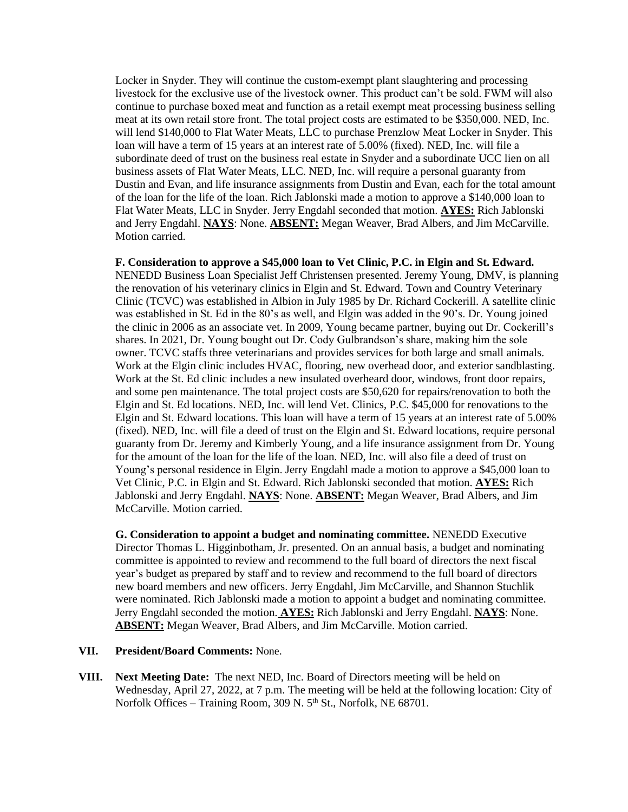Locker in Snyder. They will continue the custom-exempt plant slaughtering and processing livestock for the exclusive use of the livestock owner. This product can't be sold. FWM will also continue to purchase boxed meat and function as a retail exempt meat processing business selling meat at its own retail store front. The total project costs are estimated to be \$350,000. NED, Inc. will lend \$140,000 to Flat Water Meats, LLC to purchase Prenzlow Meat Locker in Snyder. This loan will have a term of 15 years at an interest rate of 5.00% (fixed). NED, Inc. will file a subordinate deed of trust on the business real estate in Snyder and a subordinate UCC lien on all business assets of Flat Water Meats, LLC. NED, Inc. will require a personal guaranty from Dustin and Evan, and life insurance assignments from Dustin and Evan, each for the total amount of the loan for the life of the loan. Rich Jablonski made a motion to approve a \$140,000 loan to Flat Water Meats, LLC in Snyder. Jerry Engdahl seconded that motion. **AYES:** Rich Jablonski and Jerry Engdahl. **NAYS**: None. **ABSENT:** Megan Weaver, Brad Albers, and Jim McCarville. Motion carried.

### **F. Consideration to approve a \$45,000 loan to Vet Clinic, P.C. in Elgin and St. Edward.**

NENEDD Business Loan Specialist Jeff Christensen presented. Jeremy Young, DMV, is planning the renovation of his veterinary clinics in Elgin and St. Edward. Town and Country Veterinary Clinic (TCVC) was established in Albion in July 1985 by Dr. Richard Cockerill. A satellite clinic was established in St. Ed in the 80's as well, and Elgin was added in the 90's. Dr. Young joined the clinic in 2006 as an associate vet. In 2009, Young became partner, buying out Dr. Cockerill's shares. In 2021, Dr. Young bought out Dr. Cody Gulbrandson's share, making him the sole owner. TCVC staffs three veterinarians and provides services for both large and small animals. Work at the Elgin clinic includes HVAC, flooring, new overhead door, and exterior sandblasting. Work at the St. Ed clinic includes a new insulated overheard door, windows, front door repairs, and some pen maintenance. The total project costs are \$50,620 for repairs/renovation to both the Elgin and St. Ed locations. NED, Inc. will lend Vet. Clinics, P.C. \$45,000 for renovations to the Elgin and St. Edward locations. This loan will have a term of 15 years at an interest rate of 5.00% (fixed). NED, Inc. will file a deed of trust on the Elgin and St. Edward locations, require personal guaranty from Dr. Jeremy and Kimberly Young, and a life insurance assignment from Dr. Young for the amount of the loan for the life of the loan. NED, Inc. will also file a deed of trust on Young's personal residence in Elgin. Jerry Engdahl made a motion to approve a \$45,000 loan to Vet Clinic, P.C. in Elgin and St. Edward. Rich Jablonski seconded that motion. **AYES:** Rich Jablonski and Jerry Engdahl. **NAYS**: None. **ABSENT:** Megan Weaver, Brad Albers, and Jim McCarville. Motion carried.

**G. Consideration to appoint a budget and nominating committee.** NENEDD Executive Director Thomas L. Higginbotham, Jr. presented. On an annual basis, a budget and nominating committee is appointed to review and recommend to the full board of directors the next fiscal year's budget as prepared by staff and to review and recommend to the full board of directors new board members and new officers. Jerry Engdahl, Jim McCarville, and Shannon Stuchlik were nominated. Rich Jablonski made a motion to appoint a budget and nominating committee. Jerry Engdahl seconded the motion. **AYES:** Rich Jablonski and Jerry Engdahl. **NAYS**: None. **ABSENT:** Megan Weaver, Brad Albers, and Jim McCarville. Motion carried.

### **VII. President/Board Comments:** None.

**VIII. Next Meeting Date:** The next NED, Inc. Board of Directors meeting will be held on Wednesday, April 27, 2022, at 7 p.m. The meeting will be held at the following location: City of Norfolk Offices – Training Room, 309 N. 5<sup>th</sup> St., Norfolk, NE 68701.